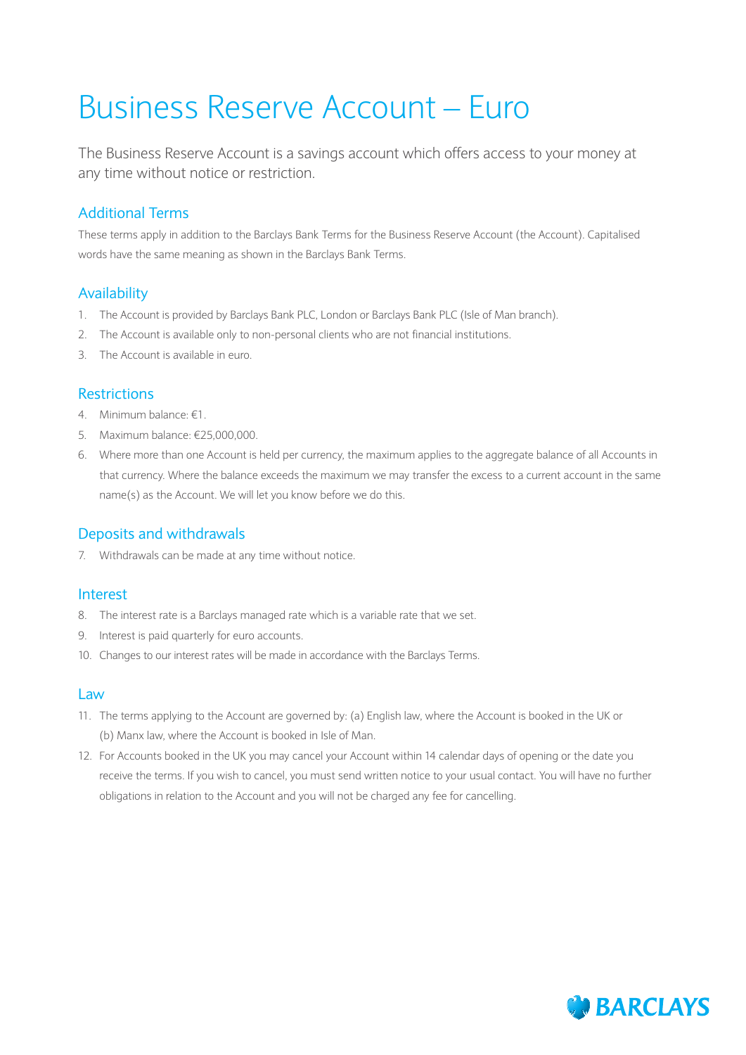# Business Reserve Account – Euro

The Business Reserve Account is a savings account which offers access to your money at any time without notice or restriction.

# Additional Terms

These terms apply in addition to the Barclays Bank Terms for the Business Reserve Account (the Account). Capitalised words have the same meaning as shown in the Barclays Bank Terms.

## Availability

- 1. The Account is provided by Barclays Bank PLC, London or Barclays Bank PLC (Isle of Man branch).
- 2. The Account is available only to non-personal clients who are not financial institutions.
- 3. The Account is available in euro.

### **Restrictions**

- 4. Minimum balance: €1.
- 5. Maximum balance: €25,000,000.
- 6. Where more than one Account is held per currency, the maximum applies to the aggregate balance of all Accounts in that currency. Where the balance exceeds the maximum we may transfer the excess to a current account in the same name(s) as the Account. We will let you know before we do this.

## Deposits and withdrawals

7. Withdrawals can be made at any time without notice.

### Interest

- 8. The interest rate is a Barclays managed rate which is a variable rate that we set.
- 9. Interest is paid quarterly for euro accounts.
- 10. Changes to our interest rates will be made in accordance with the Barclays Terms.

#### Law

- 11. The terms applying to the Account are governed by: (a) English law, where the Account is booked in the UK or (b) Manx law, where the Account is booked in Isle of Man.
- 12. For Accounts booked in the UK you may cancel your Account within 14 calendar days of opening or the date you receive the terms. If you wish to cancel, you must send written notice to your usual contact. You will have no further obligations in relation to the Account and you will not be charged any fee for cancelling.